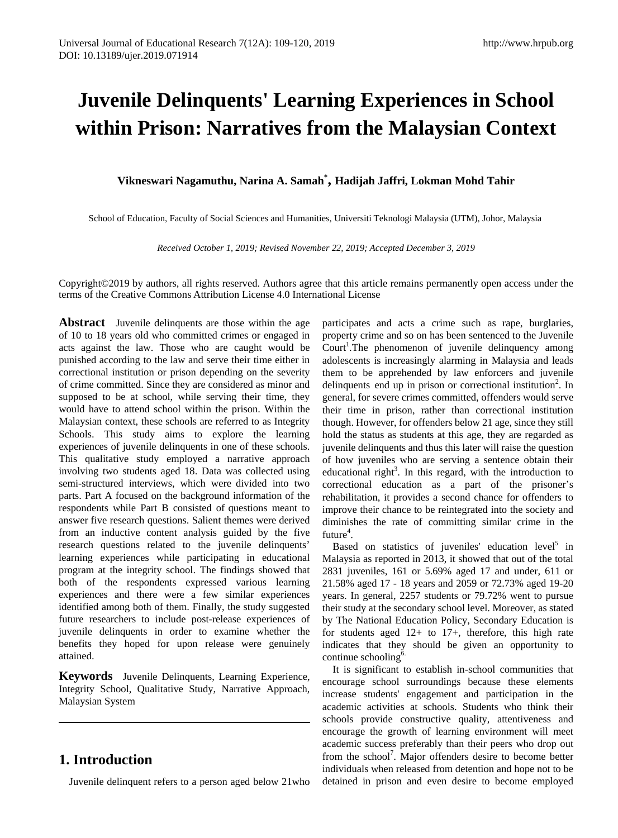# **Juvenile Delinquents' Learning Experiences in School within Prison: Narratives from the Malaysian Context**

**Vikneswari Nagamuthu, Narina A. Samah\* , Hadijah Jaffri, Lokman Mohd Tahir**

School of Education, Faculty of Social Sciences and Humanities, Universiti Teknologi Malaysia (UTM), Johor, Malaysia

*Received October 1, 2019; Revised November 22, 2019; Accepted December 3, 2019*

Copyright©2019 by authors, all rights reserved. Authors agree that this article remains permanently open access under the terms of the Creative Commons Attribution License 4.0 International License

**Abstract** Juvenile delinquents are those within the age of 10 to 18 years old who committed crimes or engaged in acts against the law. Those who are caught would be punished according to the law and serve their time either in correctional institution or prison depending on the severity of crime committed. Since they are considered as minor and supposed to be at school, while serving their time, they would have to attend school within the prison. Within the Malaysian context, these schools are referred to as Integrity Schools. This study aims to explore the learning experiences of juvenile delinquents in one of these schools. This qualitative study employed a narrative approach involving two students aged 18. Data was collected using semi-structured interviews, which were divided into two parts. Part A focused on the background information of the respondents while Part B consisted of questions meant to answer five research questions. Salient themes were derived from an inductive content analysis guided by the five research questions related to the juvenile delinquents' learning experiences while participating in educational program at the integrity school. The findings showed that both of the respondents expressed various learning experiences and there were a few similar experiences identified among both of them. Finally, the study suggested future researchers to include post-release experiences of juvenile delinquents in order to examine whether the benefits they hoped for upon release were genuinely attained.

**Keywords** Juvenile Delinquents, Learning Experience, Integrity School, Qualitative Study, Narrative Approach, Malaysian System

# **1. Introduction**

Juvenile delinquent refers to a person aged below 21who

participates and acts a crime such as rape, burglaries, property crime and so on has been sentenced to the Juvenile Court<sup>1</sup>. The phenomenon of juvenile delinquency among adolescents is increasingly alarming in Malaysia and leads them to be apprehended by law enforcers and juvenile delinquents end up in prison or correctional institution<sup>2</sup>. In general, for severe crimes committed, offenders would serve their time in prison, rather than correctional institution though. However, for offenders below 21 age, since they still hold the status as students at this age, they are regarded as juvenile delinquents and thus this later will raise the question of how juveniles who are serving a sentence obtain their educational right<sup>3</sup>. In this regard, with the introduction to correctional education as a part of the prisoner's rehabilitation, it provides a second chance for offenders to improve their chance to be reintegrated into the society and diminishes the rate of committing similar crime in the future<sup>4</sup>.

Based on statistics of juveniles' education level<sup>5</sup> in Malaysia as reported in 2013, it showed that out of the total 2831 juveniles, 161 or 5.69% aged 17 and under, 611 or 21.58% aged 17 - 18 years and 2059 or 72.73% aged 19-20 years. In general, 2257 students or 79.72% went to pursue their study at the secondary school level. Moreover, as stated by The National Education Policy, Secondary Education is for students aged 12+ to 17+, therefore, this high rate indicates that they should be given an opportunity to continue schooling $6$ .

It is significant to establish in-school communities that encourage school surroundings because these elements increase students' engagement and participation in the academic activities at schools. Students who think their schools provide constructive quality, attentiveness and encourage the growth of learning environment will meet academic success preferably than their peers who drop out from the school<sup>7</sup>. Major offenders desire to become better individuals when released from detention and hope not to be detained in prison and even desire to become employed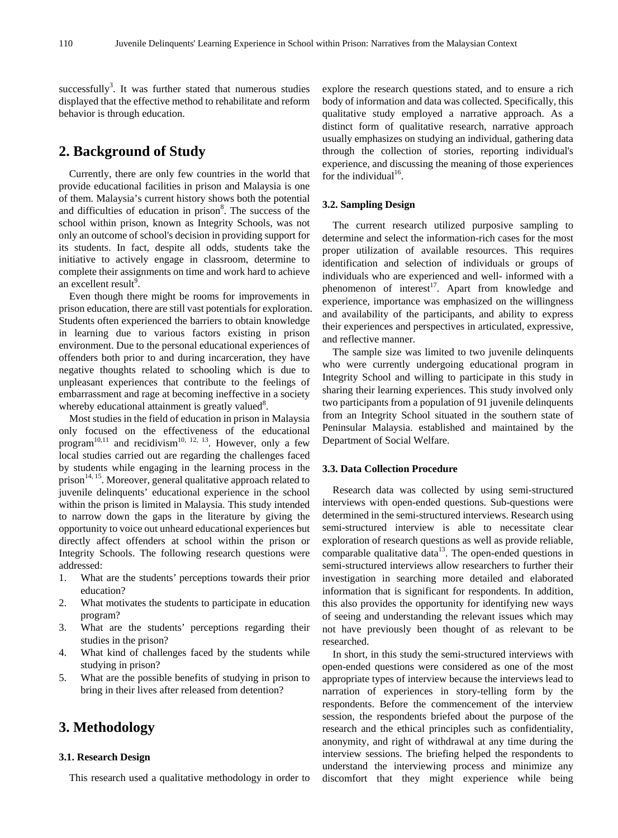successfully<sup>3</sup>. It was further stated that numerous studies displayed that the effective method to rehabilitate and reform behavior is through education.

# **2. Background of Study**

Currently, there are only few countries in the world that provide educational facilities in prison and Malaysia is one of them. Malaysia's current history shows both the potential and difficulties of education in prison<sup>8</sup>. The success of the school within prison, known as Integrity Schools, was not only an outcome of school's decision in providing support for its students. In fact, despite all odds, students take the initiative to actively engage in classroom, determine to complete their assignments on time and work hard to achieve an excellent result $\degree$ .

Even though there might be rooms for improvements in prison education, there are still vast potentials for exploration. Students often experienced the barriers to obtain knowledge in learning due to various factors existing in prison environment. Due to the personal educational experiences of offenders both prior to and during incarceration, they have negative thoughts related to schooling which is due to unpleasant experiences that contribute to the feelings of embarrassment and rage at becoming ineffective in a society whereby educational attainment is greatly valued<sup>8</sup>.

Most studies in the field of education in prison in Malaysia only focused on the effectiveness of the educational program<sup>10,11</sup> and recidivism<sup>10, 12, 13</sup>. However, only a few local studies carried out are regarding the challenges faced by students while engaging in the learning process in the  $\frac{1}{4}$ , 15. Moreover, general qualitative approach related to juvenile delinquents' educational experience in the school within the prison is limited in Malaysia. This study intended to narrow down the gaps in the literature by giving the opportunity to voice out unheard educational experiences but directly affect offenders at school within the prison or Integrity Schools. The following research questions were addressed:

- 1. What are the students' perceptions towards their prior education?
- 2. What motivates the students to participate in education program?
- 3. What are the students' perceptions regarding their studies in the prison?
- 4. What kind of challenges faced by the students while studying in prison?
- 5. What are the possible benefits of studying in prison to bring in their lives after released from detention?

# **3. Methodology**

#### **3.1. Research Design**

This research used a qualitative methodology in order to

explore the research questions stated, and to ensure a rich body of information and data was collected. Specifically, this qualitative study employed a narrative approach. As a distinct form of qualitative research, narrative approach usually emphasizes on studying an individual, gathering data through the collection of stories, reporting individual's experience, and discussing the meaning of those experiences for the individual  $16$ .

#### **3.2. Sampling Design**

The current research utilized purposive sampling to determine and select the information-rich cases for the most proper utilization of available resources. This requires identification and selection of individuals or groups of individuals who are experienced and well- informed with a phenomenon of interest<sup>17</sup>. Apart from knowledge and experience, importance was emphasized on the willingness and availability of the participants, and ability to express their experiences and perspectives in articulated, expressive, and reflective manner.

The sample size was limited to two juvenile delinquents who were currently undergoing educational program in Integrity School and willing to participate in this study in sharing their learning experiences. This study involved only two participants from a population of 91 juvenile delinquents from an Integrity School situated in the southern state of Peninsular Malaysia. established and maintained by the Department of Social Welfare.

#### **3.3. Data Collection Procedure**

Research data was collected by using semi-structured interviews with open-ended questions. Sub-questions were determined in the semi-structured interviews. Research using semi-structured interview is able to necessitate clear exploration of research questions as well as provide reliable, comparable qualitative data $13$ . The open-ended questions in semi-structured interviews allow researchers to further their investigation in searching more detailed and elaborated information that is significant for respondents. In addition, this also provides the opportunity for identifying new ways of seeing and understanding the relevant issues which may not have previously been thought of as relevant to be researched.

In short, in this study the semi-structured interviews with open-ended questions were considered as one of the most appropriate types of interview because the interviews lead to narration of experiences in story-telling form by the respondents. Before the commencement of the interview session, the respondents briefed about the purpose of the research and the ethical principles such as confidentiality, anonymity, and right of withdrawal at any time during the interview sessions. The briefing helped the respondents to understand the interviewing process and minimize any discomfort that they might experience while being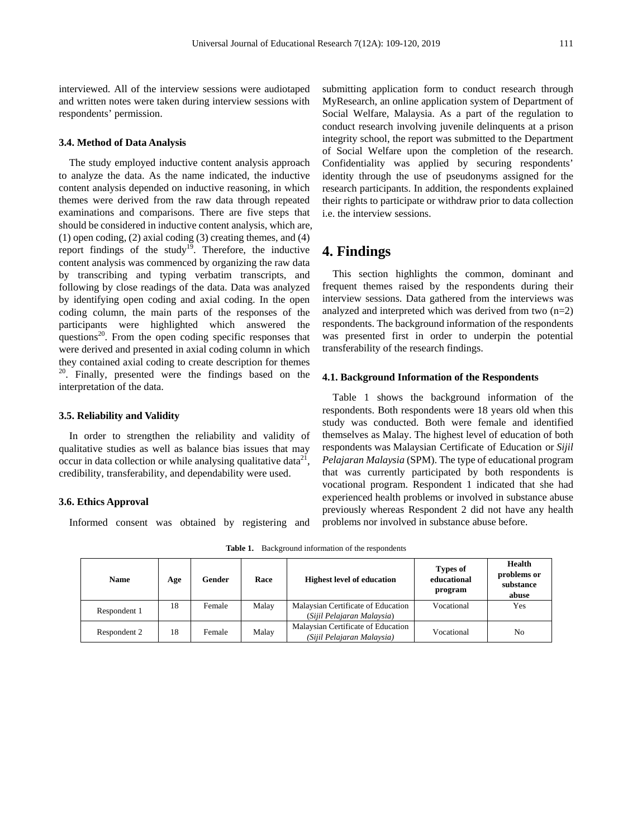interviewed. All of the interview sessions were audiotaped and written notes were taken during interview sessions with respondents' permission.

#### **3.4. Method of Data Analysis**

The study employed inductive content analysis approach to analyze the data. As the name indicated, the inductive content analysis depended on inductive reasoning, in which themes were derived from the raw data through repeated examinations and comparisons. There are five steps that should be considered in inductive content analysis, which are, (1) open coding, (2) axial coding (3) creating themes, and (4) report findings of the study<sup>19</sup>. Therefore, the inductive content analysis was commenced by organizing the raw data by transcribing and typing verbatim transcripts, and following by close readings of the data. Data was analyzed by identifying open coding and axial coding. In the open coding column, the main parts of the responses of the participants were highlighted which answered the questions $20$ . From the open coding specific responses that were derived and presented in axial coding column in which they contained axial coding to create description for themes <sup>20</sup>. Finally, presented were the findings based on the interpretation of the data.

#### **3.5. Reliability and Validity**

In order to strengthen the reliability and validity of qualitative studies as well as balance bias issues that may occur in data collection or while analysing qualitative data<sup>21</sup>, credibility, transferability, and dependability were used.

#### **3.6. Ethics Approval**

Informed consent was obtained by registering and

submitting application form to conduct research through MyResearch, an online application system of Department of Social Welfare, Malaysia. As a part of the regulation to conduct research involving juvenile delinquents at a prison integrity school, the report was submitted to the Department of Social Welfare upon the completion of the research. Confidentiality was applied by securing respondents' identity through the use of pseudonyms assigned for the research participants. In addition, the respondents explained their rights to participate or withdraw prior to data collection i.e. the interview sessions.

# **4. Findings**

This section highlights the common, dominant and frequent themes raised by the respondents during their interview sessions. Data gathered from the interviews was analyzed and interpreted which was derived from two (n=2) respondents. The background information of the respondents was presented first in order to underpin the potential transferability of the research findings.

#### **4.1. Background Information of the Respondents**

Table 1 shows the background information of the respondents. Both respondents were 18 years old when this study was conducted. Both were female and identified themselves as Malay. The highest level of education of both respondents was Malaysian Certificate of Education or *Sijil Pelajaran Malaysia* (SPM). The type of educational program that was currently participated by both respondents is vocational program. Respondent 1 indicated that she had experienced health problems or involved in substance abuse previously whereas Respondent 2 did not have any health problems nor involved in substance abuse before.

| <b>Name</b>  | Age | Gender | Race  | <b>Highest level of education</b>                                | <b>Types of</b><br>educational<br>program | Health<br>problems or<br>substance<br>abuse |
|--------------|-----|--------|-------|------------------------------------------------------------------|-------------------------------------------|---------------------------------------------|
| Respondent 1 | 18  | Female | Malay | Malaysian Certificate of Education<br>(Sijil Pelajaran Malaysia) | Vocational                                | Yes                                         |
| Respondent 2 | 18  | Female | Malay | Malaysian Certificate of Education<br>(Sijil Pelajaran Malaysia) | Vocational                                | No                                          |

**Table 1.** Background information of the respondents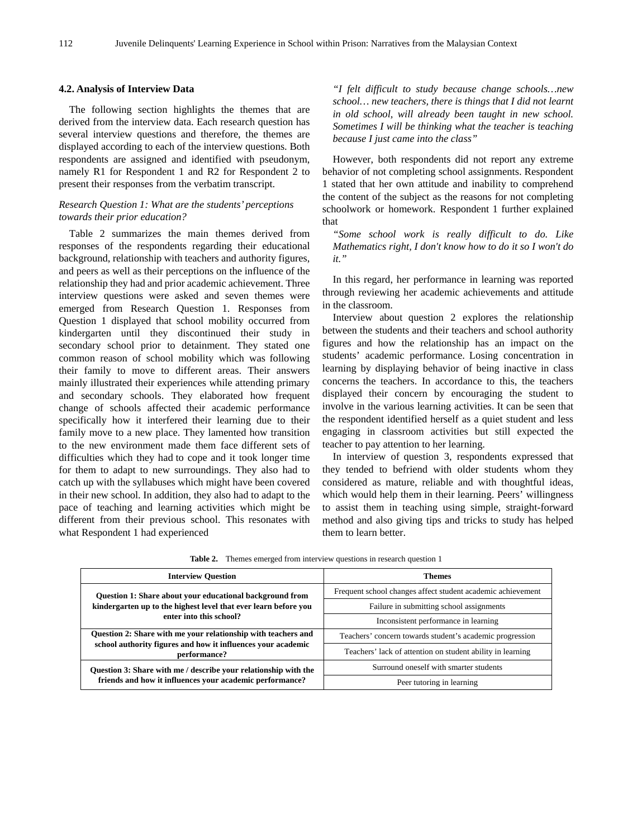#### **4.2. Analysis of Interview Data**

The following section highlights the themes that are derived from the interview data. Each research question has several interview questions and therefore, the themes are displayed according to each of the interview questions. Both respondents are assigned and identified with pseudonym, namely R1 for Respondent 1 and R2 for Respondent 2 to present their responses from the verbatim transcript.

## *Research Question 1: What are the students' perceptions towards their prior education?*

Table 2 summarizes the main themes derived from responses of the respondents regarding their educational background, relationship with teachers and authority figures, and peers as well as their perceptions on the influence of the relationship they had and prior academic achievement. Three interview questions were asked and seven themes were emerged from Research Question 1. Responses from Question 1 displayed that school mobility occurred from kindergarten until they discontinued their study in secondary school prior to detainment. They stated one common reason of school mobility which was following their family to move to different areas. Their answers mainly illustrated their experiences while attending primary and secondary schools. They elaborated how frequent change of schools affected their academic performance specifically how it interfered their learning due to their family move to a new place. They lamented how transition to the new environment made them face different sets of difficulties which they had to cope and it took longer time for them to adapt to new surroundings. They also had to catch up with the syllabuses which might have been covered in their new school. In addition, they also had to adapt to the pace of teaching and learning activities which might be different from their previous school. This resonates with what Respondent 1 had experienced

*"I felt difficult to study because change schools…new school… new teachers, there is things that I did not learnt in old school, will already been taught in new school. Sometimes I will be thinking what the teacher is teaching because I just came into the class"*

However, both respondents did not report any extreme behavior of not completing school assignments. Respondent 1 stated that her own attitude and inability to comprehend the content of the subject as the reasons for not completing schoolwork or homework. Respondent 1 further explained that

*"Some school work is really difficult to do. Like Mathematics right, I don't know how to do it so I won't do it."*

In this regard, her performance in learning was reported through reviewing her academic achievements and attitude in the classroom.

Interview about question 2 explores the relationship between the students and their teachers and school authority figures and how the relationship has an impact on the students' academic performance. Losing concentration in learning by displaying behavior of being inactive in class concerns the teachers. In accordance to this, the teachers displayed their concern by encouraging the student to involve in the various learning activities. It can be seen that the respondent identified herself as a quiet student and less engaging in classroom activities but still expected the teacher to pay attention to her learning.

In interview of question 3, respondents expressed that they tended to befriend with older students whom they considered as mature, reliable and with thoughtful ideas, which would help them in their learning. Peers' willingness to assist them in teaching using simple, straight-forward method and also giving tips and tricks to study has helped them to learn better.

| <b>Interview Question</b>                                                    | Themes                                                      |  |
|------------------------------------------------------------------------------|-------------------------------------------------------------|--|
| Question 1: Share about your educational background from                     | Frequent school changes affect student academic achievement |  |
| kindergarten up to the highest level that ever learn before you              | Failure in submitting school assignments                    |  |
| enter into this school?                                                      | Inconsistent performance in learning                        |  |
| Question 2: Share with me your relationship with teachers and                | Teachers' concern towards student's academic progression    |  |
| school authority figures and how it influences your academic<br>performance? | Teachers' lack of attention on student ability in learning  |  |
| Question 3: Share with me / describe your relationship with the              | Surround oneself with smarter students                      |  |
| friends and how it influences your academic performance?                     | Peer tutoring in learning                                   |  |

Table 2. Themes emerged from interview questions in research question 1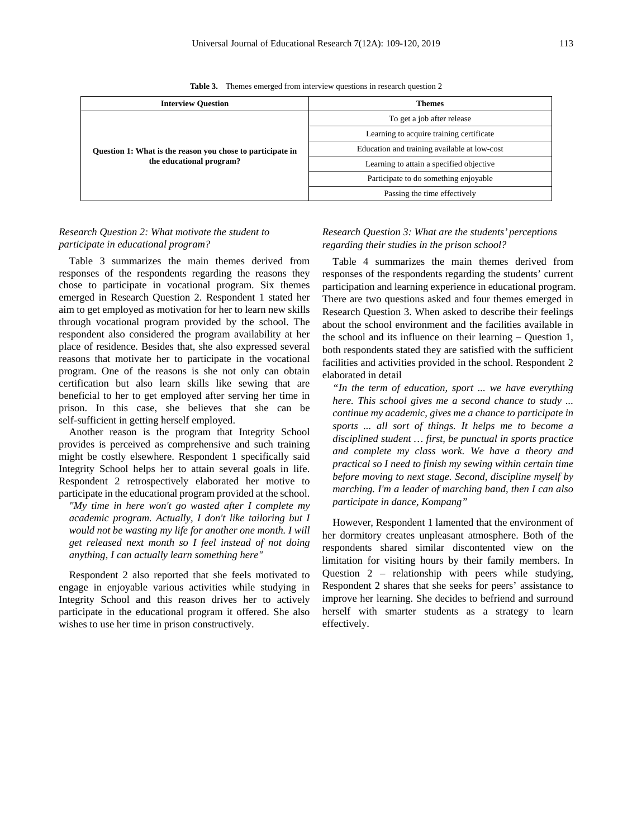**Table 3.** Themes emerged from interview questions in research question 2

| <b>Interview Question</b>                                  | <b>Themes</b>                                |  |
|------------------------------------------------------------|----------------------------------------------|--|
|                                                            | To get a job after release                   |  |
|                                                            | Learning to acquire training certificate     |  |
| Question 1: What is the reason you chose to participate in | Education and training available at low-cost |  |
| the educational program?                                   | Learning to attain a specified objective     |  |
|                                                            | Participate to do something enjoyable        |  |
|                                                            | Passing the time effectively                 |  |

## *Research Question 2: What motivate the student to participate in educational program?*

Table 3 summarizes the main themes derived from responses of the respondents regarding the reasons they chose to participate in vocational program. Six themes emerged in Research Question 2. Respondent 1 stated her aim to get employed as motivation for her to learn new skills through vocational program provided by the school. The respondent also considered the program availability at her place of residence. Besides that, she also expressed several reasons that motivate her to participate in the vocational program. One of the reasons is she not only can obtain certification but also learn skills like sewing that are beneficial to her to get employed after serving her time in prison. In this case, she believes that she can be self-sufficient in getting herself employed.

Another reason is the program that Integrity School provides is perceived as comprehensive and such training might be costly elsewhere. Respondent 1 specifically said Integrity School helps her to attain several goals in life. Respondent 2 retrospectively elaborated her motive to participate in the educational program provided at the school.

*"My time in here won't go wasted after I complete my academic program. Actually, I don't like tailoring but I would not be wasting my life for another one month. I will get released next month so I feel instead of not doing anything, I can actually learn something here"* 

Respondent 2 also reported that she feels motivated to engage in enjoyable various activities while studying in Integrity School and this reason drives her to actively participate in the educational program it offered. She also wishes to use her time in prison constructively.

## *Research Question 3: What are the students' perceptions regarding their studies in the prison school?*

Table 4 summarizes the main themes derived from responses of the respondents regarding the students' current participation and learning experience in educational program. There are two questions asked and four themes emerged in Research Question 3. When asked to describe their feelings about the school environment and the facilities available in the school and its influence on their learning – Question 1, both respondents stated they are satisfied with the sufficient facilities and activities provided in the school. Respondent 2 elaborated in detail

*"In the term of education, sport ... we have everything here. This school gives me a second chance to study ... continue my academic, gives me a chance to participate in sports ... all sort of things. It helps me to become a disciplined student … first, be punctual in sports practice and complete my class work. We have a theory and practical so I need to finish my sewing within certain time before moving to next stage. Second, discipline myself by marching. I'm a leader of marching band, then I can also participate in dance, Kompang"*

However, Respondent 1 lamented that the environment of her dormitory creates unpleasant atmosphere. Both of the respondents shared similar discontented view on the limitation for visiting hours by their family members. In Question 2 – relationship with peers while studying, Respondent 2 shares that she seeks for peers' assistance to improve her learning. She decides to befriend and surround herself with smarter students as a strategy to learn effectively.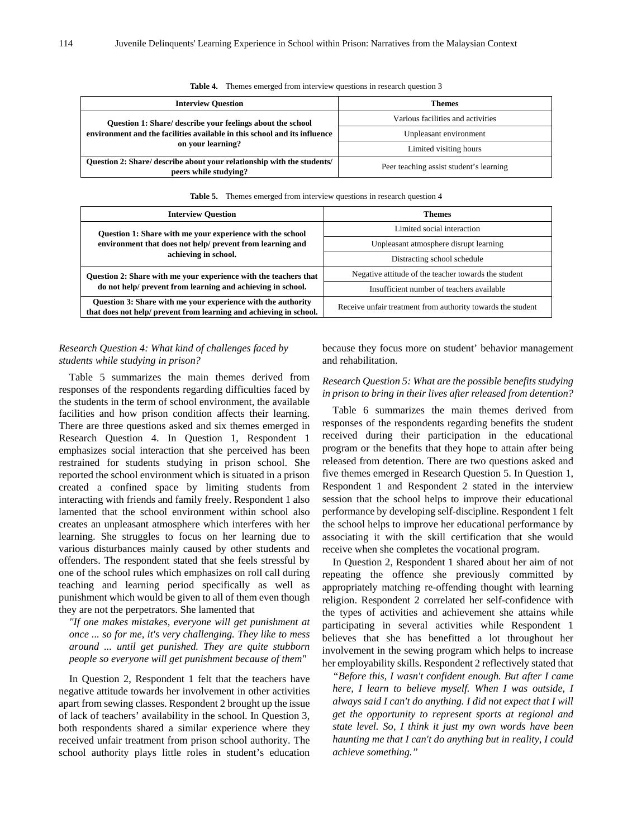| <b>Interview Question</b>                                                                       | <b>Themes</b>                           |  |
|-------------------------------------------------------------------------------------------------|-----------------------------------------|--|
| Question 1: Share/ describe your feelings about the school                                      | Various facilities and activities       |  |
| environment and the facilities available in this school and its influence                       | Unpleasant environment                  |  |
| on your learning?                                                                               | Limited visiting hours                  |  |
| Question 2: Share/ describe about your relationship with the students/<br>peers while studying? | Peer teaching assist student's learning |  |

**Table 4.** Themes emerged from interview questions in research question 3

**Table 5.** Themes emerged from interview questions in research question 4

| <b>Interview Question</b>                                                                                                          | <b>Themes</b>                                               |  |
|------------------------------------------------------------------------------------------------------------------------------------|-------------------------------------------------------------|--|
| Question 1: Share with me your experience with the school                                                                          | Limited social interaction                                  |  |
| environment that does not help/ prevent from learning and                                                                          | Unpleasant atmosphere disrupt learning                      |  |
| achieving in school.                                                                                                               | Distracting school schedule                                 |  |
| Question 2: Share with me your experience with the teachers that                                                                   | Negative attitude of the teacher towards the student        |  |
| do not help/ prevent from learning and achieving in school.                                                                        | Insufficient number of teachers available                   |  |
| Question 3: Share with me your experience with the authority<br>that does not help/ prevent from learning and achieving in school. | Receive unfair treatment from authority towards the student |  |

## *Research Question 4: What kind of challenges faced by students while studying in prison?*

Table 5 summarizes the main themes derived from responses of the respondents regarding difficulties faced by the students in the term of school environment, the available facilities and how prison condition affects their learning. There are three questions asked and six themes emerged in Research Question 4. In Question 1, Respondent 1 emphasizes social interaction that she perceived has been restrained for students studying in prison school. She reported the school environment which is situated in a prison created a confined space by limiting students from interacting with friends and family freely. Respondent 1 also lamented that the school environment within school also creates an unpleasant atmosphere which interferes with her learning. She struggles to focus on her learning due to various disturbances mainly caused by other students and offenders. The respondent stated that she feels stressful by one of the school rules which emphasizes on roll call during teaching and learning period specifically as well as punishment which would be given to all of them even though they are not the perpetrators. She lamented that

*"If one makes mistakes, everyone will get punishment at once ... so for me, it's very challenging. They like to mess around ... until get punished. They are quite stubborn people so everyone will get punishment because of them"* 

In Question 2, Respondent 1 felt that the teachers have negative attitude towards her involvement in other activities apart from sewing classes. Respondent 2 brought up the issue of lack of teachers' availability in the school. In Question 3, both respondents shared a similar experience where they received unfair treatment from prison school authority. The school authority plays little roles in student's education because they focus more on student' behavior management and rehabilitation.

## *Research Question 5: What are the possible benefits studying in prison to bring in their lives after released from detention?*

Table 6 summarizes the main themes derived from responses of the respondents regarding benefits the student received during their participation in the educational program or the benefits that they hope to attain after being released from detention. There are two questions asked and five themes emerged in Research Question 5. In Question 1, Respondent 1 and Respondent 2 stated in the interview session that the school helps to improve their educational performance by developing self-discipline. Respondent 1 felt the school helps to improve her educational performance by associating it with the skill certification that she would receive when she completes the vocational program.

In Question 2, Respondent 1 shared about her aim of not repeating the offence she previously committed by appropriately matching re-offending thought with learning religion. Respondent 2 correlated her self-confidence with the types of activities and achievement she attains while participating in several activities while Respondent 1 believes that she has benefitted a lot throughout her involvement in the sewing program which helps to increase her employability skills. Respondent 2 reflectively stated that

*"Before this, I wasn't confident enough. But after I came here, I learn to believe myself. When I was outside, I always said I can't do anything. I did not expect that I will get the opportunity to represent sports at regional and state level. So, I think it just my own words have been haunting me that I can't do anything but in reality, I could achieve something."*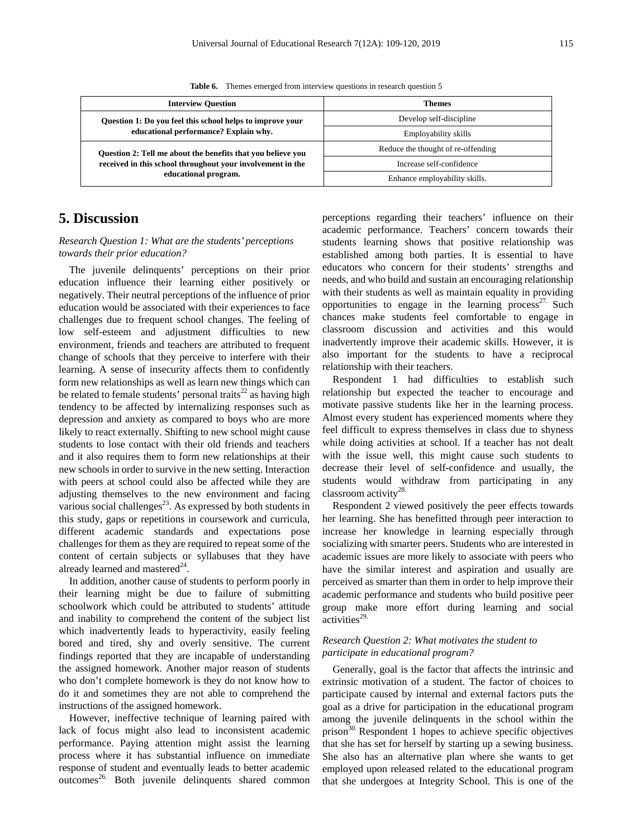| <b>Interview Question</b>                                   | <b>Themes</b>                      |  |
|-------------------------------------------------------------|------------------------------------|--|
| Question 1: Do you feel this school helps to improve your   | Develop self-discipline            |  |
| educational performance? Explain why.                       | Employability skills               |  |
| Question 2: Tell me about the benefits that you believe you | Reduce the thought of re-offending |  |
| received in this school throughout your involvement in the  | Increase self-confidence           |  |
| educational program.                                        | Enhance employability skills.      |  |

**Table 6.** Themes emerged from interview questions in research question 5

# **5. Discussion**

## *Research Question 1: What are the students' perceptions towards their prior education?*

The juvenile delinquents' perceptions on their prior education influence their learning either positively or negatively. Their neutral perceptions of the influence of prior education would be associated with their experiences to face challenges due to frequent school changes. The feeling of low self-esteem and adjustment difficulties to new environment, friends and teachers are attributed to frequent change of schools that they perceive to interfere with their learning. A sense of insecurity affects them to confidently form new relationships as well as learn new things which can be related to female students' personal traits<sup>22</sup> as having high tendency to be affected by internalizing responses such as depression and anxiety as compared to boys who are more likely to react externally. Shifting to new school might cause students to lose contact with their old friends and teachers and it also requires them to form new relationships at their new schools in order to survive in the new setting. Interaction with peers at school could also be affected while they are adjusting themselves to the new environment and facing various social challenges<sup>23</sup>. As expressed by both students in this study, gaps or repetitions in coursework and curricula, different academic standards and expectations pose challenges for them as they are required to repeat some of the content of certain subjects or syllabuses that they have already learned and mastered $^{24}$ .

In addition, another cause of students to perform poorly in their learning might be due to failure of submitting schoolwork which could be attributed to students' attitude and inability to comprehend the content of the subject list which inadvertently leads to hyperactivity, easily feeling bored and tired, shy and overly sensitive. The current findings reported that they are incapable of understanding the assigned homework. Another major reason of students who don't complete homework is they do not know how to do it and sometimes they are not able to comprehend the instructions of the assigned homework.

However, ineffective technique of learning paired with lack of focus might also lead to inconsistent academic performance. Paying attention might assist the learning process where it has substantial influence on immediate response of student and eventually leads to better academic outcomes<sup>26.</sup> Both juvenile delinquents shared common perceptions regarding their teachers' influence on their academic performance. Teachers' concern towards their students learning shows that positive relationship was established among both parties. It is essential to have educators who concern for their students' strengths and needs, and who build and sustain an encouraging relationship with their students as well as maintain equality in providing opportunities to engage in the learning process $27$ . Such chances make students feel comfortable to engage in classroom discussion and activities and this would inadvertently improve their academic skills. However, it is also important for the students to have a reciprocal relationship with their teachers.

Respondent 1 had difficulties to establish such relationship but expected the teacher to encourage and motivate passive students like her in the learning process. Almost every student has experienced moments where they feel difficult to express themselves in class due to shyness while doing activities at school. If a teacher has not dealt with the issue well, this might cause such students to decrease their level of self-confidence and usually, the students would withdraw from participating in any classroom activity<sup>28.</sup>

Respondent 2 viewed positively the peer effects towards her learning. She has benefitted through peer interaction to increase her knowledge in learning especially through socializing with smarter peers. Students who are interested in academic issues are more likely to associate with peers who have the similar interest and aspiration and usually are perceived as smarter than them in order to help improve their academic performance and students who build positive peer group make more effort during learning and social activities<sup>29.</sup>

### *Research Question 2: What motivates the student to participate in educational program?*

Generally, goal is the factor that affects the intrinsic and extrinsic motivation of a student. The factor of choices to participate caused by internal and external factors puts the goal as a drive for participation in the educational program among the juvenile delinquents in the school within the prison $30$ . Respondent 1 hopes to achieve specific objectives that she has set for herself by starting up a sewing business. She also has an alternative plan where she wants to get employed upon released related to the educational program that she undergoes at Integrity School*.* This is one of the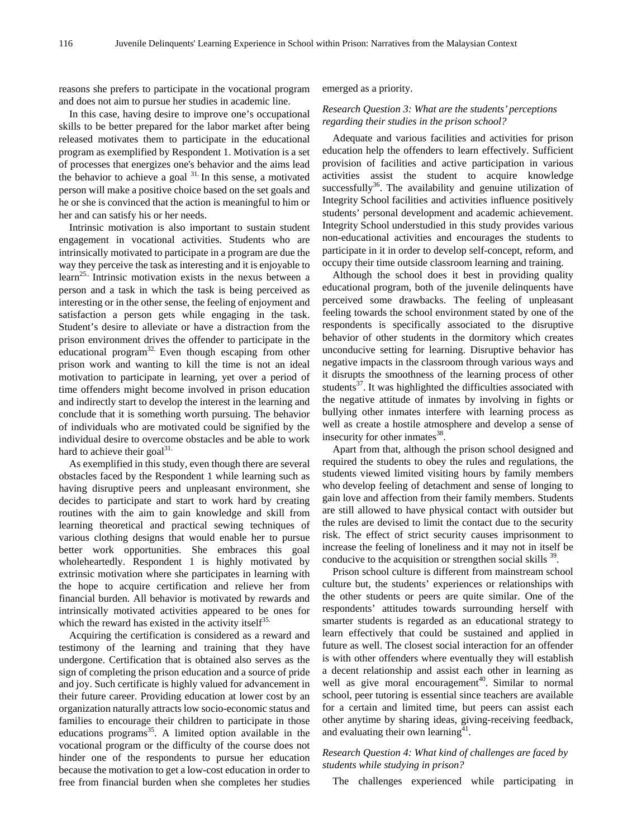reasons she prefers to participate in the vocational program and does not aim to pursue her studies in academic line.

In this case, having desire to improve one's occupational skills to be better prepared for the labor market after being released motivates them to participate in the educational program as exemplified by Respondent 1. Motivation is a set of processes that energizes one's behavior and the aims lead the behavior to achieve a goal  $31$ . In this sense, a motivated person will make a positive choice based on the set goals and he or she is convinced that the action is meaningful to him or her and can satisfy his or her needs.

Intrinsic motivation is also important to sustain student engagement in vocational activities. Students who are intrinsically motivated to participate in a program are due the way they perceive the task as interesting and it is enjoyable to learn<sup>25.</sup> Intrinsic motivation exists in the nexus between a person and a task in which the task is being perceived as interesting or in the other sense, the feeling of enjoyment and satisfaction a person gets while engaging in the task. Student's desire to alleviate or have a distraction from the prison environment drives the offender to participate in the educational program $32$ . Even though escaping from other prison work and wanting to kill the time is not an ideal motivation to participate in learning, yet over a period of time offenders might become involved in prison education and indirectly start to develop the interest in the learning and conclude that it is something worth pursuing. The behavior of individuals who are motivated could be signified by the individual desire to overcome obstacles and be able to work hard to achieve their goal<sup>31.</sup>

As exemplified in this study, even though there are several obstacles faced by the Respondent 1 while learning such as having disruptive peers and unpleasant environment, she decides to participate and start to work hard by creating routines with the aim to gain knowledge and skill from learning theoretical and practical sewing techniques of various clothing designs that would enable her to pursue better work opportunities. She embraces this goal wholeheartedly. Respondent 1 is highly motivated by extrinsic motivation where she participates in learning with the hope to acquire certification and relieve her from financial burden. All behavior is motivated by rewards and intrinsically motivated activities appeared to be ones for which the reward has existed in the activity itself<sup>35.</sup>

Acquiring the certification is considered as a reward and testimony of the learning and training that they have undergone. Certification that is obtained also serves as the sign of completing the prison education and a source of pride and joy. Such certificate is highly valued for advancement in their future career. Providing education at lower cost by an organization naturally attracts low socio-economic status and families to encourage their children to participate in those educations programs<sup>35</sup>. A limited option available in the vocational program or the difficulty of the course does not hinder one of the respondents to pursue her education because the motivation to get a low-cost education in order to free from financial burden when she completes her studies

#### emerged as a priority.

## *Research Question 3: What are the students' perceptions regarding their studies in the prison school?*

Adequate and various facilities and activities for prison education help the offenders to learn effectively. Sufficient provision of facilities and active participation in various activities assist the student to acquire knowledge successfully<sup>36</sup>. The availability and genuine utilization of Integrity School facilities and activities influence positively students' personal development and academic achievement. Integrity School understudied in this study provides various non-educational activities and encourages the students to participate in it in order to develop self-concept, reform, and occupy their time outside classroom learning and training.

Although the school does it best in providing quality educational program, both of the juvenile delinquents have perceived some drawbacks. The feeling of unpleasant feeling towards the school environment stated by one of the respondents is specifically associated to the disruptive behavior of other students in the dormitory which creates unconducive setting for learning. Disruptive behavior has negative impacts in the classroom through various ways and it disrupts the smoothness of the learning process of other students $37$ . It was highlighted the difficulties associated with the negative attitude of inmates by involving in fights or bullying other inmates interfere with learning process as well as create a hostile atmosphere and develop a sense of insecurity for other inmates $38$ .

Apart from that, although the prison school designed and required the students to obey the rules and regulations, the students viewed limited visiting hours by family members who develop feeling of detachment and sense of longing to gain love and affection from their family members. Students are still allowed to have physical contact with outsider but the rules are devised to limit the contact due to the security risk. The effect of strict security causes imprisonment to increase the feeling of loneliness and it may not in itself be conducive to the acquisition or strengthen social skills  $39$ .

Prison school culture is different from mainstream school culture but, the students' experiences or relationships with the other students or peers are quite similar. One of the respondents' attitudes towards surrounding herself with smarter students is regarded as an educational strategy to learn effectively that could be sustained and applied in future as well. The closest social interaction for an offender is with other offenders where eventually they will establish a decent relationship and assist each other in learning as well as give moral encouragement<sup>40</sup>. Similar to normal school, peer tutoring is essential since teachers are available for a certain and limited time, but peers can assist each other anytime by sharing ideas, giving-receiving feedback, and evaluating their own learning $41$ .

### *Research Question 4: What kind of challenges are faced by students while studying in prison?*

The challenges experienced while participating in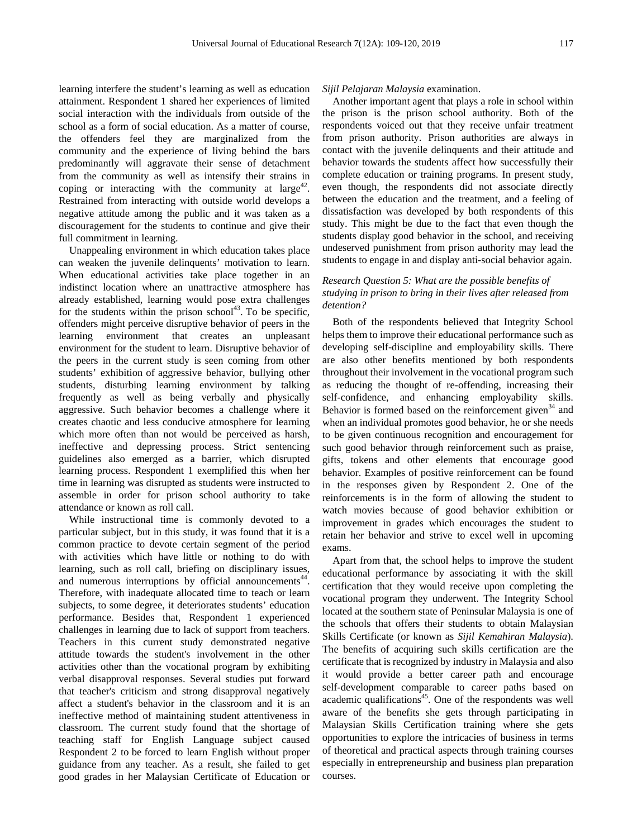learning interfere the student's learning as well as education attainment. Respondent 1 shared her experiences of limited social interaction with the individuals from outside of the school as a form of social education. As a matter of course, the offenders feel they are marginalized from the community and the experience of living behind the bars predominantly will aggravate their sense of detachment from the community as well as intensify their strains in coping or interacting with the community at large<sup>42</sup>. Restrained from interacting with outside world develops a negative attitude among the public and it was taken as a discouragement for the students to continue and give their full commitment in learning.

Unappealing environment in which education takes place can weaken the juvenile delinquents' motivation to learn. When educational activities take place together in an indistinct location where an unattractive atmosphere has already established, learning would pose extra challenges for the students within the prison  $\mathrm{school}^{43}$ . To be specific, offenders might perceive disruptive behavior of peers in the learning environment that creates an unpleasant environment for the student to learn. Disruptive behavior of the peers in the current study is seen coming from other students' exhibition of aggressive behavior, bullying other students, disturbing learning environment by talking frequently as well as being verbally and physically aggressive. Such behavior becomes a challenge where it creates chaotic and less conducive atmosphere for learning which more often than not would be perceived as harsh, ineffective and depressing process. Strict sentencing guidelines also emerged as a barrier, which disrupted learning process. Respondent 1 exemplified this when her time in learning was disrupted as students were instructed to assemble in order for prison school authority to take attendance or known as roll call.

While instructional time is commonly devoted to a particular subject, but in this study, it was found that it is a common practice to devote certain segment of the period with activities which have little or nothing to do with learning, such as roll call, briefing on disciplinary issues, and numerous interruptions by official announcements<sup>44</sup>. Therefore, with inadequate allocated time to teach or learn subjects, to some degree, it deteriorates students' education performance. Besides that, Respondent 1 experienced challenges in learning due to lack of support from teachers. Teachers in this current study demonstrated negative attitude towards the student's involvement in the other activities other than the vocational program by exhibiting verbal disapproval responses. Several studies put forward that teacher's criticism and strong disapproval negatively affect a student's behavior in the classroom and it is an ineffective method of maintaining student attentiveness in classroom. The current study found that the shortage of teaching staff for English Language subject caused Respondent 2 to be forced to learn English without proper guidance from any teacher. As a result, she failed to get good grades in her Malaysian Certificate of Education or

#### *Sijil Pelajaran Malaysia* examination.

Another important agent that plays a role in school within the prison is the prison school authority. Both of the respondents voiced out that they receive unfair treatment from prison authority. Prison authorities are always in contact with the juvenile delinquents and their attitude and behavior towards the students affect how successfully their complete education or training programs. In present study, even though, the respondents did not associate directly between the education and the treatment, and a feeling of dissatisfaction was developed by both respondents of this study. This might be due to the fact that even though the students display good behavior in the school, and receiving undeserved punishment from prison authority may lead the students to engage in and display anti-social behavior again.

## *Research Question 5: What are the possible benefits of studying in prison to bring in their lives after released from detention?*

Both of the respondents believed that Integrity School helps them to improve their educational performance such as developing self-discipline and employability skills. There are also other benefits mentioned by both respondents throughout their involvement in the vocational program such as reducing the thought of re-offending, increasing their self-confidence, and enhancing employability skills. Behavior is formed based on the reinforcement given<sup>34</sup> and when an individual promotes good behavior, he or she needs to be given continuous recognition and encouragement for such good behavior through reinforcement such as praise, gifts, tokens and other elements that encourage good behavior. Examples of positive reinforcement can be found in the responses given by Respondent 2. One of the reinforcements is in the form of allowing the student to watch movies because of good behavior exhibition or improvement in grades which encourages the student to retain her behavior and strive to excel well in upcoming exams.

Apart from that, the school helps to improve the student educational performance by associating it with the skill certification that they would receive upon completing the vocational program they underwent. The Integrity School located at the southern state of Peninsular Malaysia is one of the schools that offers their students to obtain Malaysian Skills Certificate (or known as *Sijil Kemahiran Malaysia*). The benefits of acquiring such skills certification are the certificate that is recognized by industry in Malaysia and also it would provide a better career path and encourage self-development comparable to career paths based on academic qualifications<sup>45</sup>. One of the respondents was well aware of the benefits she gets through participating in Malaysian Skills Certification training where she gets opportunities to explore the intricacies of business in terms of theoretical and practical aspects through training courses especially in entrepreneurship and business plan preparation courses.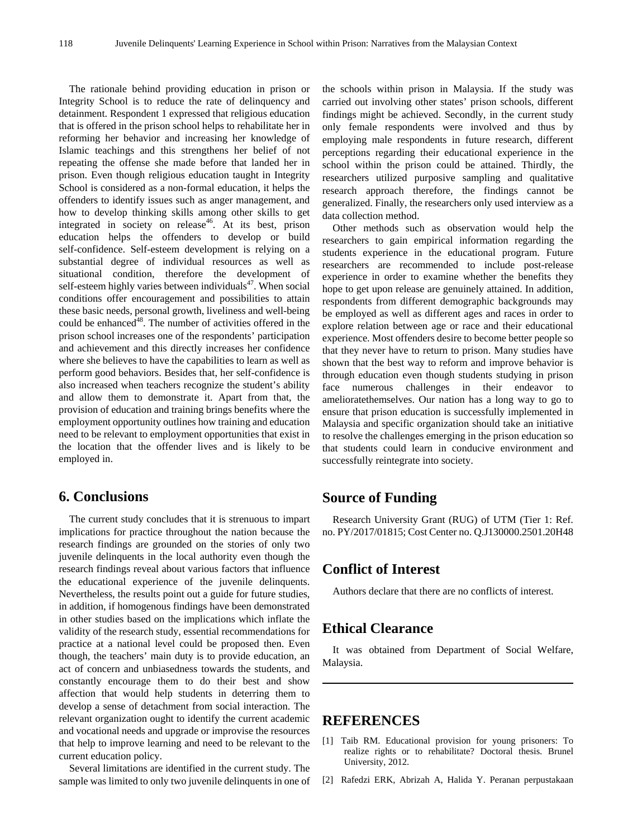The rationale behind providing education in prison or Integrity School is to reduce the rate of delinquency and detainment. Respondent 1 expressed that religious education that is offered in the prison school helps to rehabilitate her in reforming her behavior and increasing her knowledge of Islamic teachings and this strengthens her belief of not repeating the offense she made before that landed her in prison. Even though religious education taught in Integrity School is considered as a non-formal education, it helps the offenders to identify issues such as anger management, and how to develop thinking skills among other skills to get integrated in society on release<sup>46</sup>. At its best, prison education helps the offenders to develop or build self-confidence. Self-esteem development is relying on a substantial degree of individual resources as well as situational condition, therefore the development of self-esteem highly varies between individuals $47$ . When social conditions offer encouragement and possibilities to attain these basic needs, personal growth, liveliness and well-being could be enhanced $48$ . The number of activities offered in the prison school increases one of the respondents' participation and achievement and this directly increases her confidence where she believes to have the capabilities to learn as well as perform good behaviors. Besides that, her self-confidence is also increased when teachers recognize the student's ability and allow them to demonstrate it. Apart from that, the provision of education and training brings benefits where the employment opportunity outlines how training and education need to be relevant to employment opportunities that exist in the location that the offender lives and is likely to be employed in.

# **6. Conclusions**

The current study concludes that it is strenuous to impart implications for practice throughout the nation because the research findings are grounded on the stories of only two juvenile delinquents in the local authority even though the research findings reveal about various factors that influence the educational experience of the juvenile delinquents. Nevertheless, the results point out a guide for future studies, in addition, if homogenous findings have been demonstrated in other studies based on the implications which inflate the validity of the research study, essential recommendations for practice at a national level could be proposed then. Even though, the teachers' main duty is to provide education, an act of concern and unbiasedness towards the students, and constantly encourage them to do their best and show affection that would help students in deterring them to develop a sense of detachment from social interaction. The relevant organization ought to identify the current academic and vocational needs and upgrade or improvise the resources that help to improve learning and need to be relevant to the current education policy.

Several limitations are identified in the current study. The sample was limited to only two juvenile delinquents in one of

the schools within prison in Malaysia. If the study was carried out involving other states' prison schools, different findings might be achieved. Secondly, in the current study only female respondents were involved and thus by employing male respondents in future research, different perceptions regarding their educational experience in the school within the prison could be attained. Thirdly, the researchers utilized purposive sampling and qualitative research approach therefore, the findings cannot be generalized. Finally, the researchers only used interview as a data collection method.

Other methods such as observation would help the researchers to gain empirical information regarding the students experience in the educational program. Future researchers are recommended to include post-release experience in order to examine whether the benefits they hope to get upon release are genuinely attained. In addition, respondents from different demographic backgrounds may be employed as well as different ages and races in order to explore relation between age or race and their educational experience. Most offenders desire to become better people so that they never have to return to prison. Many studies have shown that the best way to reform and improve behavior is through education even though students studying in prison face numerous challenges in their endeavor amelioratethemselves. Our nation has a long way to go to ensure that prison education is successfully implemented in Malaysia and specific organization should take an initiative to resolve the challenges emerging in the prison education so that students could learn in conducive environment and successfully reintegrate into society.

# **Source of Funding**

Research University Grant (RUG) of UTM (Tier 1: Ref. no. PY/2017/01815; Cost Center no. Q.J130000.2501.20H48

# **Conflict of Interest**

Authors declare that there are no conflicts of interest.

# **Ethical Clearance**

It was obtained from Department of Social Welfare, Malaysia.

# **REFERENCES**

- [1] Taib RM. Educational provision for young prisoners: To realize rights or to rehabilitate? Doctoral thesis. Brunel University, 2012.
- [2] Rafedzi ERK, Abrizah A, Halida Y. Peranan perpustakaan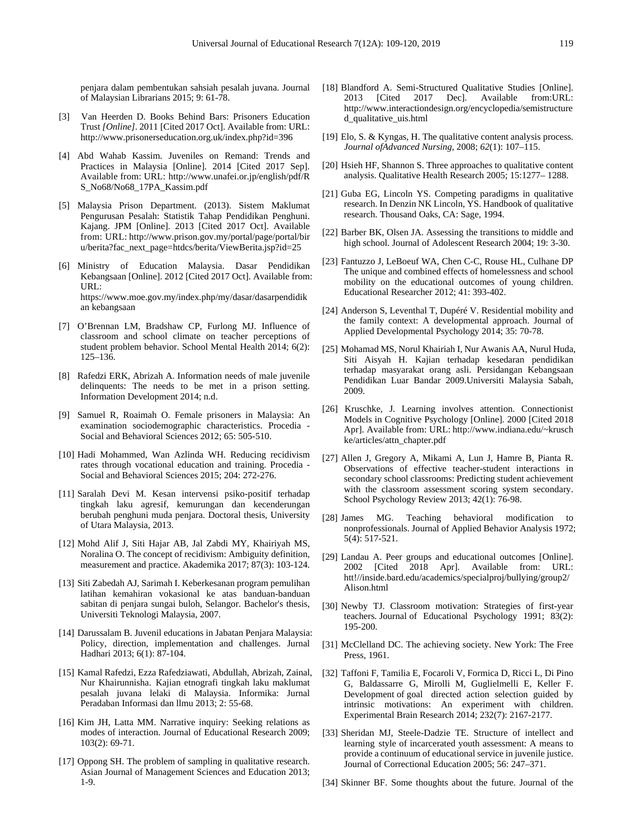penjara dalam pembentukan sahsiah pesalah juvana. Journal of Malaysian Librarians 2015; 9: 61-78.

- [3] Van Heerden D. Books Behind Bars: Prisoners Education Trust *[Online]*. 2011 [Cited 2017 Oct]. Available from: URL: http://www.prisonerseducation.org.uk/index.php?id=396
- [4] Abd Wahab Kassim. Juveniles on Remand: Trends and Practices in Malaysia [Online]. 2014 [Cited 2017 Sep]. Available from: URL: http://www.unafei.or.jp/english/pdf/R S\_No68/No68\_17PA\_Kassim.pdf
- [5] Malaysia Prison Department. (2013). Sistem Maklumat Pengurusan Pesalah: Statistik Tahap Pendidikan Penghuni. Kajang. JPM [Online]. 2013 [Cited 2017 Oct]. Available from: URL: http://www.prison.gov.my/portal/page/portal/bir u/berita?fac\_next\_page=htdcs/berita/ViewBerita.jsp?id=25
- [6] Ministry of Education Malaysia. Dasar Pendidikan Kebangsaan [Online]. 2012 [Cited 2017 Oct]. Available from: URL: https://www.moe.gov.my/index.php/my/dasar/dasarpendidik an kebangsaan
- [7] O'Brennan LM, Bradshaw CP, Furlong MJ. Influence of classroom and school climate on teacher perceptions of student problem behavior. School Mental Health 2014; 6(2): 125–136.
- [8] Rafedzi ERK, Abrizah A. Information needs of male juvenile delinquents: The needs to be met in a prison setting. Information Development 2014; n.d.
- [9] Samuel R, Roaimah O. Female prisoners in Malaysia: An examination sociodemographic characteristics. Procedia - Social and Behavioral Sciences 2012; 65: 505-510.
- [10] Hadi Mohammed, Wan Azlinda WH. Reducing recidivism rates through vocational education and training. Procedia - Social and Behavioral Sciences 2015; 204: 272-276.
- [11] Saralah Devi M. Kesan intervensi psiko-positif terhadap tingkah laku agresif, kemurungan dan kecenderungan berubah penghuni muda penjara. Doctoral thesis, University of Utara Malaysia, 2013.
- [12] Mohd Alif J, Siti Hajar AB, Jal Zabdi MY, Khairiyah MS, Noralina O. The concept of recidivism: Ambiguity definition, measurement and practice. Akademika 2017; 87(3): 103-124.
- [13] Siti Zabedah AJ, Sarimah I. Keberkesanan program pemulihan latihan kemahiran vokasional ke atas banduan-banduan sabitan di penjara sungai buloh, Selangor. Bachelor's thesis, Universiti Teknologi Malaysia, 2007.
- [14] Darussalam B. Juvenil educations in Jabatan Penjara Malaysia: Policy, direction, implementation and challenges. Jurnal Hadhari 2013; 6(1): 87-104.
- [15] Kamal Rafedzi, Ezza Rafedziawati, Abdullah, Abrizah, Zainal, Nur Khairunnisha. Kajian etnografi tingkah laku maklumat pesalah juvana lelaki di Malaysia. Informika: Jurnal Peradaban Informasi dan llmu 2013; 2: 55-68.
- [16] Kim JH, Latta MM. Narrative inquiry: Seeking relations as modes of interaction. Journal of Educational Research 2009; 103(2): 69-71.
- [17] Oppong SH. The problem of sampling in qualitative research. Asian Journal of Management Sciences and Education 2013; 1-9.
- [18] Blandford A. Semi-Structured Qualitative Studies [Online]. 2013 [Cited 2017 Dec]. Available from:URL: http://www.interactiondesign.org/encyclopedia/semistructure d\_qualitative\_uis.html
- [19] Elo, S. & Kyngas, H. The qualitative content analysis process. *Journal ofAdvanced Nursing,* 2008; *62*(1): 107–115.
- [20] Hsieh HF, Shannon S. Three approaches to qualitative content analysis. Qualitative Health Research 2005; 15:1277– 1288.
- [21] Guba EG, Lincoln YS. Competing paradigms in qualitative research. In Denzin NK Lincoln, YS. Handbook of qualitative research. Thousand Oaks, CA: Sage, 1994.
- [22] Barber BK, Olsen JA. Assessing the transitions to middle and high school. Journal of Adolescent Research 2004; 19: 3-30.
- [23] Fantuzzo J, LeBoeuf WA, Chen C-C, Rouse HL, Culhane DP The unique and combined effects of homelessness and school mobility on the educational outcomes of young children. Educational Researcher 2012; 41: 393-402.
- [24] Anderson S, Leventhal T, Dupéré V. Residential mobility and the family context: A developmental approach. Journal of Applied Developmental Psychology 2014; 35: 70-78.
- [25] Mohamad MS, Norul Khairiah I, Nur Awanis AA, Nurul Huda, Siti Aisyah H. Kajian terhadap kesedaran pendidikan terhadap masyarakat orang asli. Persidangan Kebangsaan Pendidikan Luar Bandar 2009.Universiti Malaysia Sabah, 2009.
- [26] Kruschke, J. Learning involves attention. Connectionist Models in Cognitive Psychology [Online]. 2000 [Cited 2018 Apr]. Available from: URL: http://www.indiana.edu/~krusch ke/articles/attn\_chapter.pdf
- [27] Allen J, Gregory A, Mikami A, Lun J, Hamre B, Pianta R. Observations of effective teacher-student interactions in secondary school classrooms: Predicting student achievement with the classroom assessment scoring system secondary. School Psychology Review 2013; 42(1): 76-98.
- [28] James MG. Teaching behavioral modification to nonprofessionals. Journal of Applied Behavior Analysis 1972; 5(4): 517-521.
- [29] Landau A. Peer groups and educational outcomes [Online]. 2002 [Cited 2018 Apr]. Available from: URL: htt!//inside.bard.edu/academics/specialproj/bullying/group2/ Alison.html
- [30] Newby TJ. Classroom motivation: Strategies of first-year teachers. Journal of Educational Psychology 1991; 83(2): 195-200.
- [31] McClelland DC. The achieving society. New York: The Free Press, 1961.
- [32] Taffoni F, Tamilia E, Focaroli V, Formica D, Ricci L, Di Pino G, Baldassarre G, Mirolli M, Guglielmelli E, Keller F. Development of goal directed action selection guided by intrinsic motivations: An experiment with children. Experimental Brain Research 2014; 232(7): 2167-2177.
- [33] Sheridan MJ, Steele-Dadzie TE. Structure of intellect and learning style of incarcerated youth assessment: A means to provide a continuum of educational service in juvenile justice. Journal of Correctional Education 2005; 56: 247–371.
- [34] Skinner BF. Some thoughts about the future. Journal of the